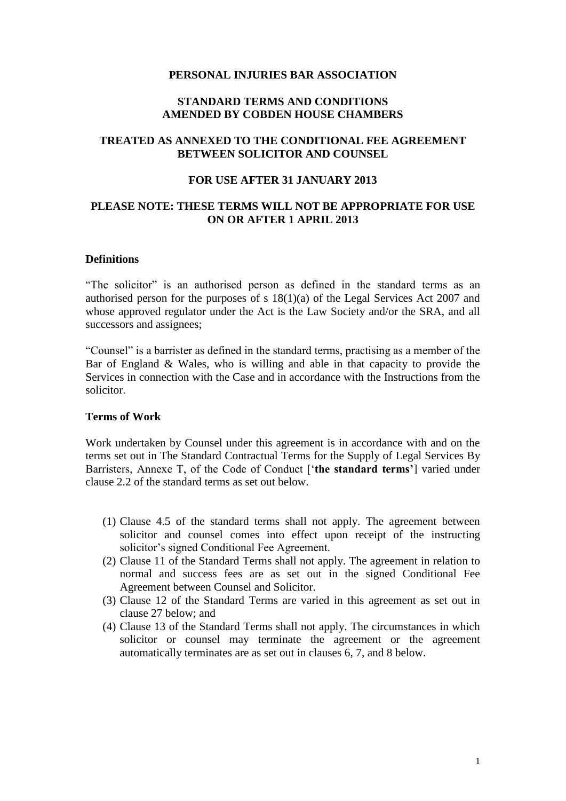#### **PERSONAL INJURIES BAR ASSOCIATION**

### **STANDARD TERMS AND CONDITIONS AMENDED BY COBDEN HOUSE CHAMBERS**

## **TREATED AS ANNEXED TO THE CONDITIONAL FEE AGREEMENT BETWEEN SOLICITOR AND COUNSEL**

#### **FOR USE AFTER 31 JANUARY 2013**

### **PLEASE NOTE: THESE TERMS WILL NOT BE APPROPRIATE FOR USE ON OR AFTER 1 APRIL 2013**

#### **Definitions**

"The solicitor" is an authorised person as defined in the standard terms as an authorised person for the purposes of s 18(1)(a) of the Legal Services Act 2007 and whose approved regulator under the Act is the Law Society and/or the SRA, and all successors and assignees;

"Counsel" is a barrister as defined in the standard terms, practising as a member of the Bar of England & Wales, who is willing and able in that capacity to provide the Services in connection with the Case and in accordance with the Instructions from the solicitor.

#### **Terms of Work**

Work undertaken by Counsel under this agreement is in accordance with and on the terms set out in The Standard Contractual Terms for the Supply of Legal Services By Barristers, Annexe T, of the Code of Conduct ['**the standard terms'**] varied under clause 2.2 of the standard terms as set out below.

- (1) Clause 4.5 of the standard terms shall not apply. The agreement between solicitor and counsel comes into effect upon receipt of the instructing solicitor's signed Conditional Fee Agreement.
- (2) Clause 11 of the Standard Terms shall not apply. The agreement in relation to normal and success fees are as set out in the signed Conditional Fee Agreement between Counsel and Solicitor.
- (3) Clause 12 of the Standard Terms are varied in this agreement as set out in clause 27 below; and
- (4) Clause 13 of the Standard Terms shall not apply. The circumstances in which solicitor or counsel may terminate the agreement or the agreement automatically terminates are as set out in clauses 6, 7, and 8 below.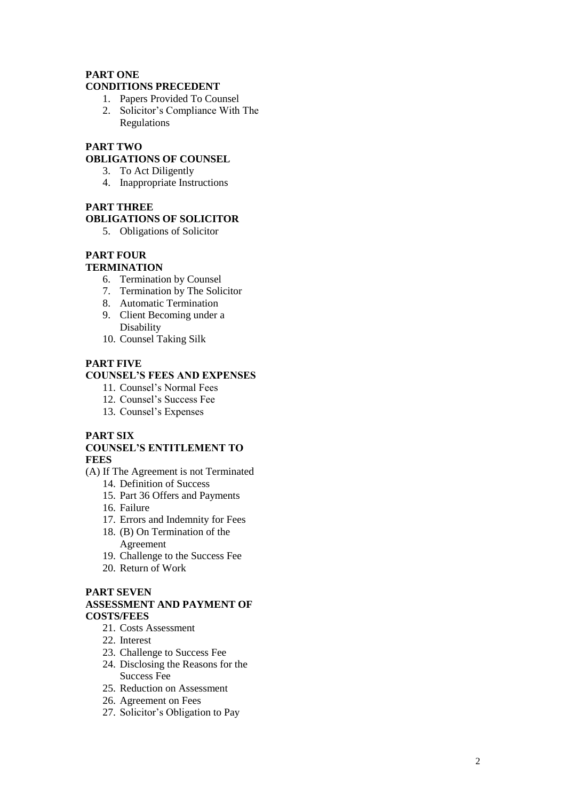#### **PART ONE CONDITIONS PRECEDENT**

- 1. Papers Provided To Counsel
- 2. Solicitor's Compliance With The Regulations

# **PART TWO**

# **OBLIGATIONS OF COUNSEL**

- 3. To Act Diligently
- 4. Inappropriate Instructions

#### **PART THREE**

### **OBLIGATIONS OF SOLICITOR**

5. Obligations of Solicitor

# **PART FOUR**

#### **TERMINATION**

- 6. Termination by Counsel
- 7. Termination by The Solicitor
- 8. Automatic Termination
- 9. Client Becoming under a Disability
- 10. Counsel Taking Silk

#### **PART FIVE**

#### **COUNSEL'S FEES AND EXPENSES**

- 11. Counsel's Normal Fees
- 12. Counsel's Success Fee
- 13. Counsel's Expenses

#### **PART SIX**

#### **COUNSEL'S ENTITLEMENT TO FEES**

- (A) If The Agreement is not Terminated
	- 14. Definition of Success
	- 15. Part 36 Offers and Payments
	- 16. Failure
	- 17. Errors and Indemnity for Fees
	- 18. (B) On Termination of the Agreement
	- 19. Challenge to the Success Fee
	- 20. Return of Work

### **PART SEVEN**

#### **ASSESSMENT AND PAYMENT OF COSTS/FEES**

- 21. Costs Assessment
- 22. Interest
- 23. Challenge to Success Fee
- 24. Disclosing the Reasons for the Success Fee
- 25. Reduction on Assessment
- 26. Agreement on Fees
- 27. Solicitor's Obligation to Pay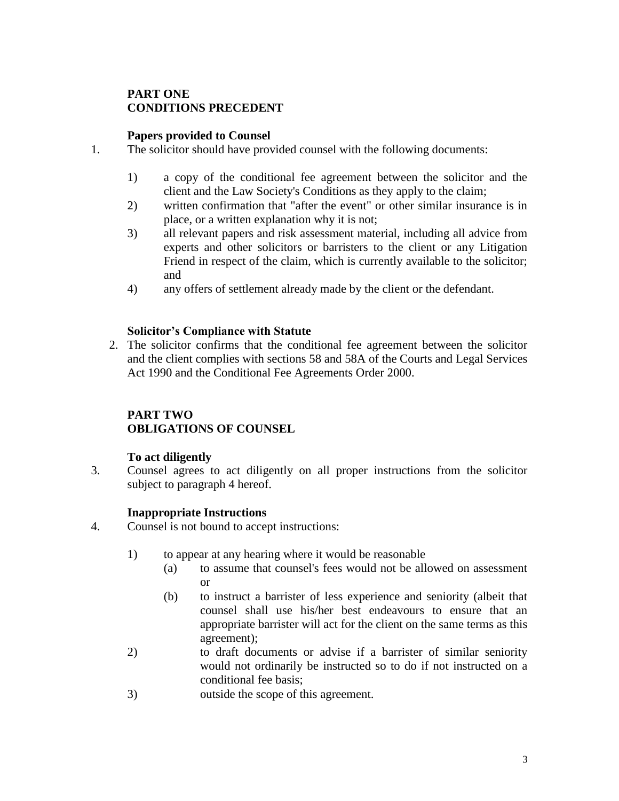# **PART ONE CONDITIONS PRECEDENT**

### **Papers provided to Counsel**

- 1. The solicitor should have provided counsel with the following documents:
	- 1) a copy of the conditional fee agreement between the solicitor and the client and the Law Society's Conditions as they apply to the claim;
	- 2) written confirmation that "after the event" or other similar insurance is in place, or a written explanation why it is not;
	- 3) all relevant papers and risk assessment material, including all advice from experts and other solicitors or barristers to the client or any Litigation Friend in respect of the claim, which is currently available to the solicitor; and
	- 4) any offers of settlement already made by the client or the defendant.

### **Solicitor's Compliance with Statute**

2. The solicitor confirms that the conditional fee agreement between the solicitor and the client complies with sections 58 and 58A of the Courts and Legal Services Act 1990 and the Conditional Fee Agreements Order 2000.

# **PART TWO OBLIGATIONS OF COUNSEL**

### **To act diligently**

3. Counsel agrees to act diligently on all proper instructions from the solicitor subject to paragraph 4 hereof.

# **Inappropriate Instructions**

- 4. Counsel is not bound to accept instructions:
	- 1) to appear at any hearing where it would be reasonable
		- (a) to assume that counsel's fees would not be allowed on assessment or
		- (b) to instruct a barrister of less experience and seniority (albeit that counsel shall use his/her best endeavours to ensure that an appropriate barrister will act for the client on the same terms as this agreement);
	- 2) to draft documents or advise if a barrister of similar seniority would not ordinarily be instructed so to do if not instructed on a conditional fee basis;
	- 3) outside the scope of this agreement.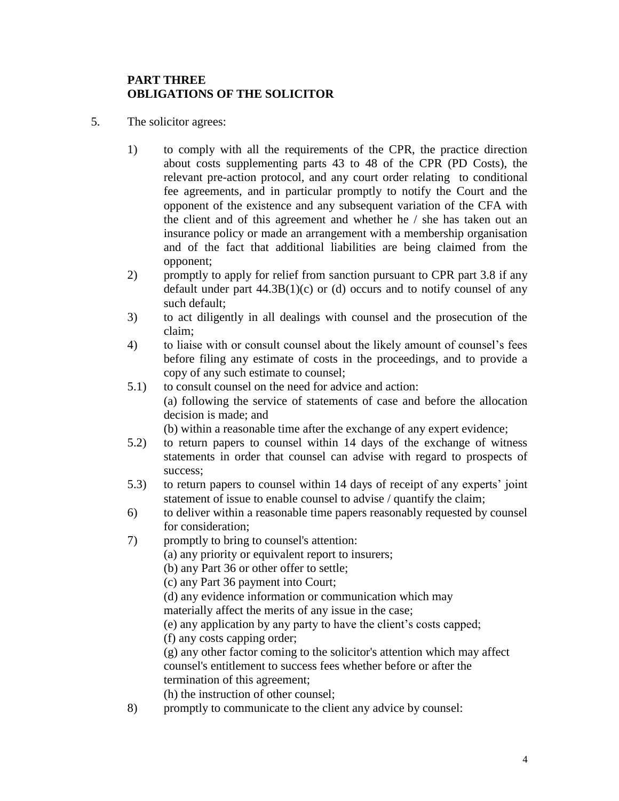# **PART THREE OBLIGATIONS OF THE SOLICITOR**

- 5. The solicitor agrees:
	- 1) to comply with all the requirements of the CPR, the practice direction about costs supplementing parts 43 to 48 of the CPR (PD Costs), the relevant pre-action protocol, and any court order relating to conditional fee agreements, and in particular promptly to notify the Court and the opponent of the existence and any subsequent variation of the CFA with the client and of this agreement and whether he / she has taken out an insurance policy or made an arrangement with a membership organisation and of the fact that additional liabilities are being claimed from the opponent;
	- 2) promptly to apply for relief from sanction pursuant to CPR part 3.8 if any default under part  $44.3B(1)(c)$  or (d) occurs and to notify counsel of any such default;
	- 3) to act diligently in all dealings with counsel and the prosecution of the claim;
	- 4) to liaise with or consult counsel about the likely amount of counsel's fees before filing any estimate of costs in the proceedings, and to provide a copy of any such estimate to counsel;
	- 5.1) to consult counsel on the need for advice and action: (a) following the service of statements of case and before the allocation decision is made; and
		- (b) within a reasonable time after the exchange of any expert evidence;
	- 5.2) to return papers to counsel within 14 days of the exchange of witness statements in order that counsel can advise with regard to prospects of success;
	- 5.3) to return papers to counsel within 14 days of receipt of any experts' joint statement of issue to enable counsel to advise / quantify the claim;
	- 6) to deliver within a reasonable time papers reasonably requested by counsel for consideration;
	- 7) promptly to bring to counsel's attention:
		- (a) any priority or equivalent report to insurers;
		- (b) any Part 36 or other offer to settle;
		- (c) any Part 36 payment into Court;
		- (d) any evidence information or communication which may
		- materially affect the merits of any issue in the case;
		- (e) any application by any party to have the client's costs capped;
		- (f) any costs capping order;

(g) any other factor coming to the solicitor's attention which may affect counsel's entitlement to success fees whether before or after the termination of this agreement;

(h) the instruction of other counsel;

8) promptly to communicate to the client any advice by counsel: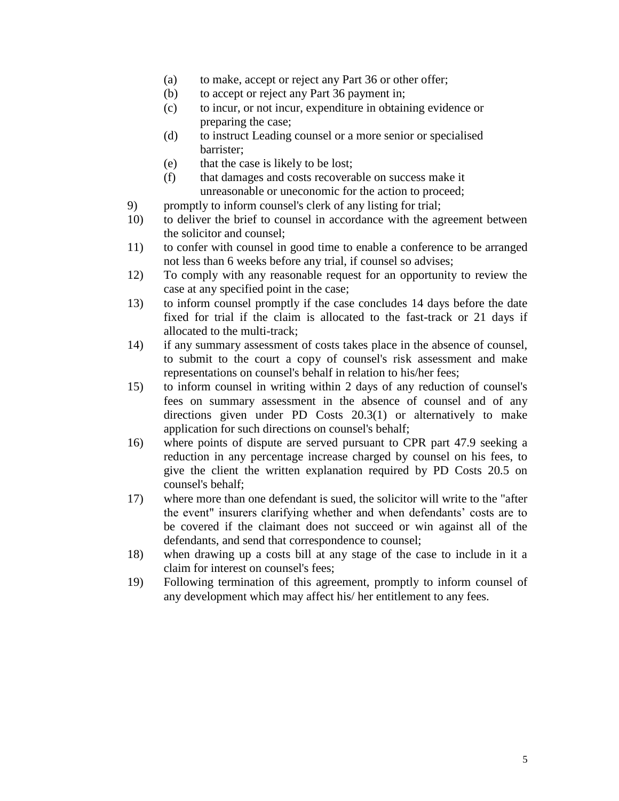- (a) to make, accept or reject any Part 36 or other offer;
- (b) to accept or reject any Part 36 payment in;
- (c) to incur, or not incur, expenditure in obtaining evidence or preparing the case;
- (d) to instruct Leading counsel or a more senior or specialised barrister;
- (e) that the case is likely to be lost;
- (f) that damages and costs recoverable on success make it unreasonable or uneconomic for the action to proceed;
- 9) promptly to inform counsel's clerk of any listing for trial;
- 10) to deliver the brief to counsel in accordance with the agreement between the solicitor and counsel;
- 11) to confer with counsel in good time to enable a conference to be arranged not less than 6 weeks before any trial, if counsel so advises;
- 12) To comply with any reasonable request for an opportunity to review the case at any specified point in the case;
- 13) to inform counsel promptly if the case concludes 14 days before the date fixed for trial if the claim is allocated to the fast-track or 21 days if allocated to the multi-track;
- 14) if any summary assessment of costs takes place in the absence of counsel, to submit to the court a copy of counsel's risk assessment and make representations on counsel's behalf in relation to his/her fees;
- 15) to inform counsel in writing within 2 days of any reduction of counsel's fees on summary assessment in the absence of counsel and of any directions given under PD Costs 20.3(1) or alternatively to make application for such directions on counsel's behalf;
- 16) where points of dispute are served pursuant to CPR part 47.9 seeking a reduction in any percentage increase charged by counsel on his fees, to give the client the written explanation required by PD Costs 20.5 on counsel's behalf;
- 17) where more than one defendant is sued, the solicitor will write to the "after the event" insurers clarifying whether and when defendants' costs are to be covered if the claimant does not succeed or win against all of the defendants, and send that correspondence to counsel;
- 18) when drawing up a costs bill at any stage of the case to include in it a claim for interest on counsel's fees;
- 19) Following termination of this agreement, promptly to inform counsel of any development which may affect his/ her entitlement to any fees.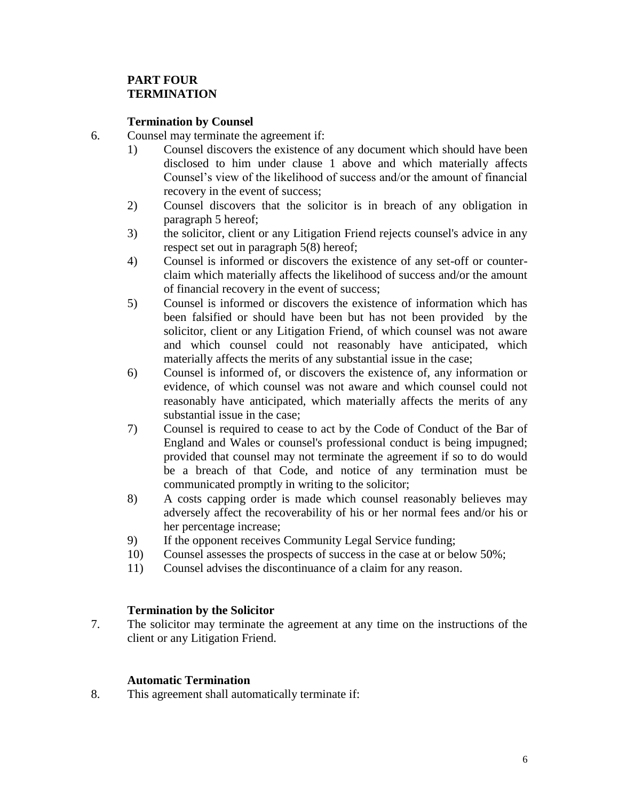# **PART FOUR TERMINATION**

### **Termination by Counsel**

- 6. Counsel may terminate the agreement if:
	- 1) Counsel discovers the existence of any document which should have been disclosed to him under clause 1 above and which materially affects Counsel's view of the likelihood of success and/or the amount of financial recovery in the event of success;
	- 2) Counsel discovers that the solicitor is in breach of any obligation in paragraph 5 hereof;
	- 3) the solicitor, client or any Litigation Friend rejects counsel's advice in any respect set out in paragraph 5(8) hereof;
	- 4) Counsel is informed or discovers the existence of any set-off or counterclaim which materially affects the likelihood of success and/or the amount of financial recovery in the event of success;
	- 5) Counsel is informed or discovers the existence of information which has been falsified or should have been but has not been provided by the solicitor, client or any Litigation Friend, of which counsel was not aware and which counsel could not reasonably have anticipated, which materially affects the merits of any substantial issue in the case;
	- 6) Counsel is informed of, or discovers the existence of, any information or evidence, of which counsel was not aware and which counsel could not reasonably have anticipated, which materially affects the merits of any substantial issue in the case;
	- 7) Counsel is required to cease to act by the Code of Conduct of the Bar of England and Wales or counsel's professional conduct is being impugned; provided that counsel may not terminate the agreement if so to do would be a breach of that Code, and notice of any termination must be communicated promptly in writing to the solicitor;
	- 8) A costs capping order is made which counsel reasonably believes may adversely affect the recoverability of his or her normal fees and/or his or her percentage increase;
	- 9) If the opponent receives Community Legal Service funding;
	- 10) Counsel assesses the prospects of success in the case at or below 50%;
	- 11) Counsel advises the discontinuance of a claim for any reason.

### **Termination by the Solicitor**

7. The solicitor may terminate the agreement at any time on the instructions of the client or any Litigation Friend.

### **Automatic Termination**

8. This agreement shall automatically terminate if: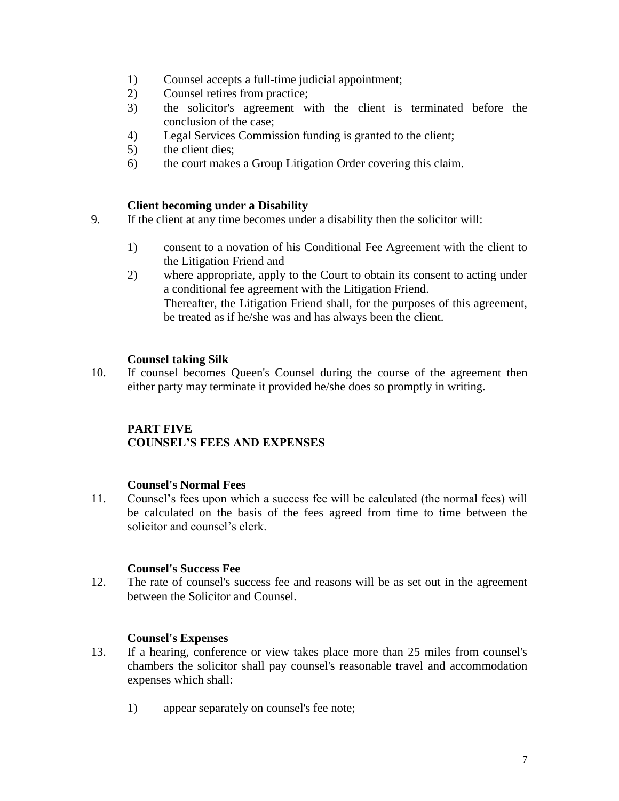- 1) Counsel accepts a full-time judicial appointment;
- 2) Counsel retires from practice;
- 3) the solicitor's agreement with the client is terminated before the conclusion of the case;
- 4) Legal Services Commission funding is granted to the client;
- 5) the client dies;
- 6) the court makes a Group Litigation Order covering this claim.

### **Client becoming under a Disability**

- 9. If the client at any time becomes under a disability then the solicitor will:
	- 1) consent to a novation of his Conditional Fee Agreement with the client to the Litigation Friend and
	- 2) where appropriate, apply to the Court to obtain its consent to acting under a conditional fee agreement with the Litigation Friend. Thereafter, the Litigation Friend shall, for the purposes of this agreement, be treated as if he/she was and has always been the client.

### **Counsel taking Silk**

10. If counsel becomes Queen's Counsel during the course of the agreement then either party may terminate it provided he/she does so promptly in writing.

# **PART FIVE**

# **COUNSEL'S FEES AND EXPENSES**

### **Counsel's Normal Fees**

11. Counsel's fees upon which a success fee will be calculated (the normal fees) will be calculated on the basis of the fees agreed from time to time between the solicitor and counsel's clerk.

### **Counsel's Success Fee**

12. The rate of counsel's success fee and reasons will be as set out in the agreement between the Solicitor and Counsel.

### **Counsel's Expenses**

- 13. If a hearing, conference or view takes place more than 25 miles from counsel's chambers the solicitor shall pay counsel's reasonable travel and accommodation expenses which shall:
	- 1) appear separately on counsel's fee note;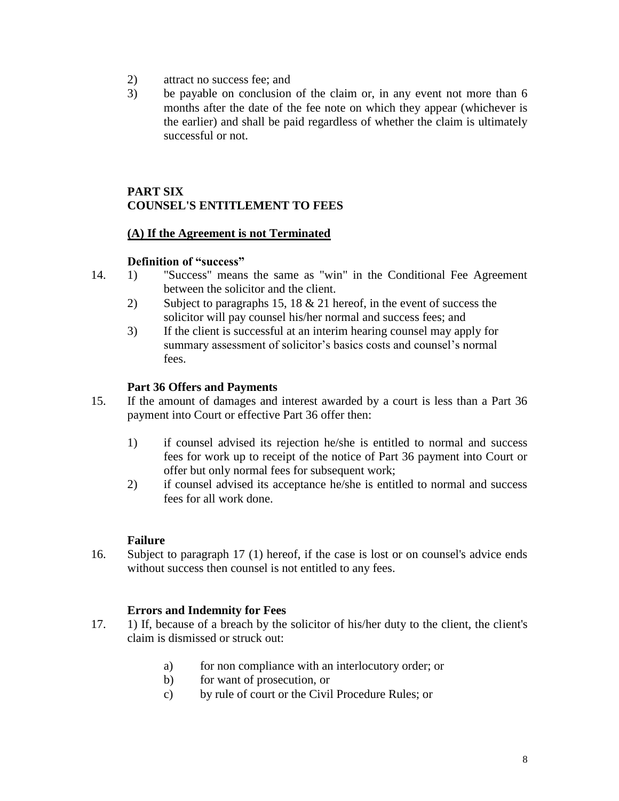- 2) attract no success fee; and
- 3) be payable on conclusion of the claim or, in any event not more than 6 months after the date of the fee note on which they appear (whichever is the earlier) and shall be paid regardless of whether the claim is ultimately successful or not.

# **PART SIX COUNSEL'S ENTITLEMENT TO FEES**

### **(A) If the Agreement is not Terminated**

### **Definition of "success"**

- 14. 1) "Success" means the same as "win" in the Conditional Fee Agreement between the solicitor and the client.
	- 2) Subject to paragraphs 15, 18 & 21 hereof, in the event of success the solicitor will pay counsel his/her normal and success fees; and
	- 3) If the client is successful at an interim hearing counsel may apply for summary assessment of solicitor's basics costs and counsel's normal fees.

### **Part 36 Offers and Payments**

- 15. If the amount of damages and interest awarded by a court is less than a Part 36 payment into Court or effective Part 36 offer then:
	- 1) if counsel advised its rejection he/she is entitled to normal and success fees for work up to receipt of the notice of Part 36 payment into Court or offer but only normal fees for subsequent work;
	- 2) if counsel advised its acceptance he/she is entitled to normal and success fees for all work done.

# **Failure**

16. Subject to paragraph 17 (1) hereof, if the case is lost or on counsel's advice ends without success then counsel is not entitled to any fees.

### **Errors and Indemnity for Fees**

- 17. 1) If, because of a breach by the solicitor of his/her duty to the client, the client's claim is dismissed or struck out:
	- a) for non compliance with an interlocutory order; or
	- b) for want of prosecution, or
	- c) by rule of court or the Civil Procedure Rules; or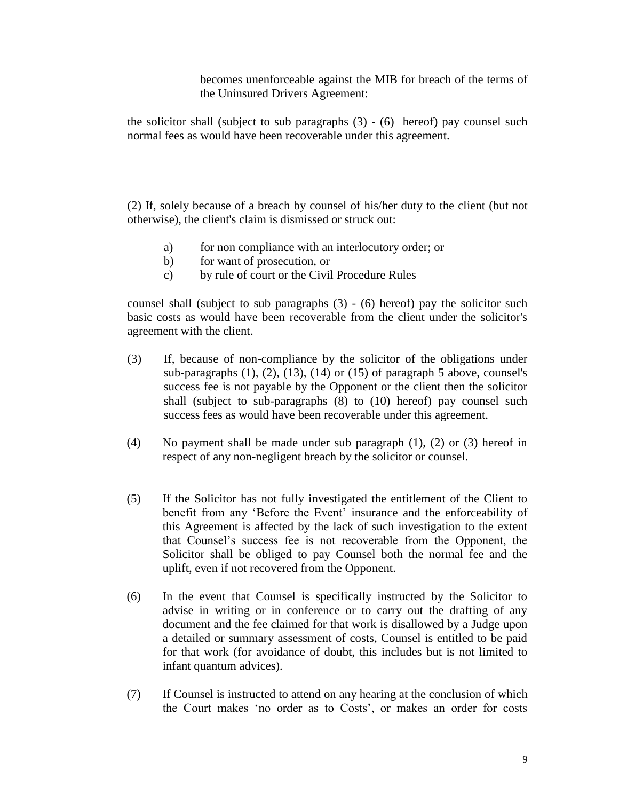becomes unenforceable against the MIB for breach of the terms of the Uninsured Drivers Agreement:

the solicitor shall (subject to sub paragraphs  $(3) - (6)$  hereof) pay counsel such normal fees as would have been recoverable under this agreement.

(2) If, solely because of a breach by counsel of his/her duty to the client (but not otherwise), the client's claim is dismissed or struck out:

- a) for non compliance with an interlocutory order; or
- b) for want of prosecution, or
- c) by rule of court or the Civil Procedure Rules

counsel shall (subject to sub paragraphs (3) - (6) hereof) pay the solicitor such basic costs as would have been recoverable from the client under the solicitor's agreement with the client.

- (3) If, because of non-compliance by the solicitor of the obligations under sub-paragraphs  $(1)$ ,  $(2)$ ,  $(13)$ ,  $(14)$  or  $(15)$  of paragraph 5 above, counsel's success fee is not payable by the Opponent or the client then the solicitor shall (subject to sub-paragraphs (8) to (10) hereof) pay counsel such success fees as would have been recoverable under this agreement.
- (4) No payment shall be made under sub paragraph (1), (2) or (3) hereof in respect of any non-negligent breach by the solicitor or counsel.
- (5) If the Solicitor has not fully investigated the entitlement of the Client to benefit from any 'Before the Event' insurance and the enforceability of this Agreement is affected by the lack of such investigation to the extent that Counsel's success fee is not recoverable from the Opponent, the Solicitor shall be obliged to pay Counsel both the normal fee and the uplift, even if not recovered from the Opponent.
- (6) In the event that Counsel is specifically instructed by the Solicitor to advise in writing or in conference or to carry out the drafting of any document and the fee claimed for that work is disallowed by a Judge upon a detailed or summary assessment of costs, Counsel is entitled to be paid for that work (for avoidance of doubt, this includes but is not limited to infant quantum advices).
- (7) If Counsel is instructed to attend on any hearing at the conclusion of which the Court makes 'no order as to Costs', or makes an order for costs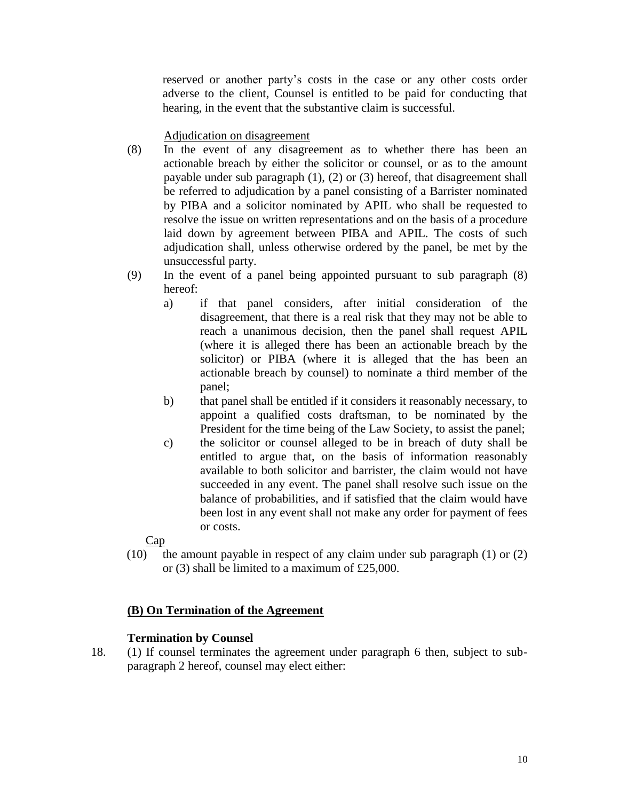reserved or another party's costs in the case or any other costs order adverse to the client, Counsel is entitled to be paid for conducting that hearing, in the event that the substantive claim is successful.

### Adjudication on disagreement

- (8) In the event of any disagreement as to whether there has been an actionable breach by either the solicitor or counsel, or as to the amount payable under sub paragraph (1), (2) or (3) hereof, that disagreement shall be referred to adjudication by a panel consisting of a Barrister nominated by PIBA and a solicitor nominated by APIL who shall be requested to resolve the issue on written representations and on the basis of a procedure laid down by agreement between PIBA and APIL. The costs of such adjudication shall, unless otherwise ordered by the panel, be met by the unsuccessful party.
- (9) In the event of a panel being appointed pursuant to sub paragraph (8) hereof:
	- a) if that panel considers, after initial consideration of the disagreement, that there is a real risk that they may not be able to reach a unanimous decision, then the panel shall request APIL (where it is alleged there has been an actionable breach by the solicitor) or PIBA (where it is alleged that the has been an actionable breach by counsel) to nominate a third member of the panel;
	- b) that panel shall be entitled if it considers it reasonably necessary, to appoint a qualified costs draftsman, to be nominated by the President for the time being of the Law Society, to assist the panel;
	- c) the solicitor or counsel alleged to be in breach of duty shall be entitled to argue that, on the basis of information reasonably available to both solicitor and barrister, the claim would not have succeeded in any event. The panel shall resolve such issue on the balance of probabilities, and if satisfied that the claim would have been lost in any event shall not make any order for payment of fees or costs.

### Cap

(10) the amount payable in respect of any claim under sub paragraph (1) or (2) or (3) shall be limited to a maximum of £25,000.

# **(B) On Termination of the Agreement**

### **Termination by Counsel**

18. (1) If counsel terminates the agreement under paragraph 6 then, subject to subparagraph 2 hereof, counsel may elect either: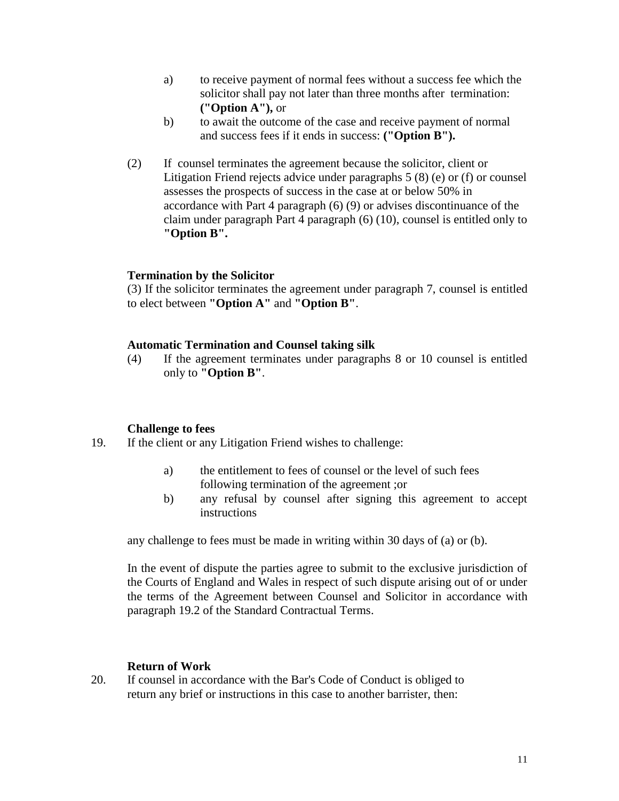- a) to receive payment of normal fees without a success fee which the solicitor shall pay not later than three months after termination: **("Option A"),** or
- b) to await the outcome of the case and receive payment of normal and success fees if it ends in success: **("Option B").**
- (2) If counsel terminates the agreement because the solicitor, client or Litigation Friend rejects advice under paragraphs 5 (8) (e) or (f) or counsel assesses the prospects of success in the case at or below 50% in accordance with Part 4 paragraph (6) (9) or advises discontinuance of the claim under paragraph Part 4 paragraph (6) (10), counsel is entitled only to **"Option B".**

#### **Termination by the Solicitor**

(3) If the solicitor terminates the agreement under paragraph 7, counsel is entitled to elect between **"Option A"** and **"Option B"**.

#### **Automatic Termination and Counsel taking silk**

(4) If the agreement terminates under paragraphs 8 or 10 counsel is entitled only to **"Option B"**.

#### **Challenge to fees**

- 19. If the client or any Litigation Friend wishes to challenge:
	- a) the entitlement to fees of counsel or the level of such fees following termination of the agreement ;or
	- b) any refusal by counsel after signing this agreement to accept instructions

any challenge to fees must be made in writing within 30 days of (a) or (b).

In the event of dispute the parties agree to submit to the exclusive jurisdiction of the Courts of England and Wales in respect of such dispute arising out of or under the terms of the Agreement between Counsel and Solicitor in accordance with paragraph 19.2 of the Standard Contractual Terms.

#### **Return of Work**

20. If counsel in accordance with the Bar's Code of Conduct is obliged to return any brief or instructions in this case to another barrister, then: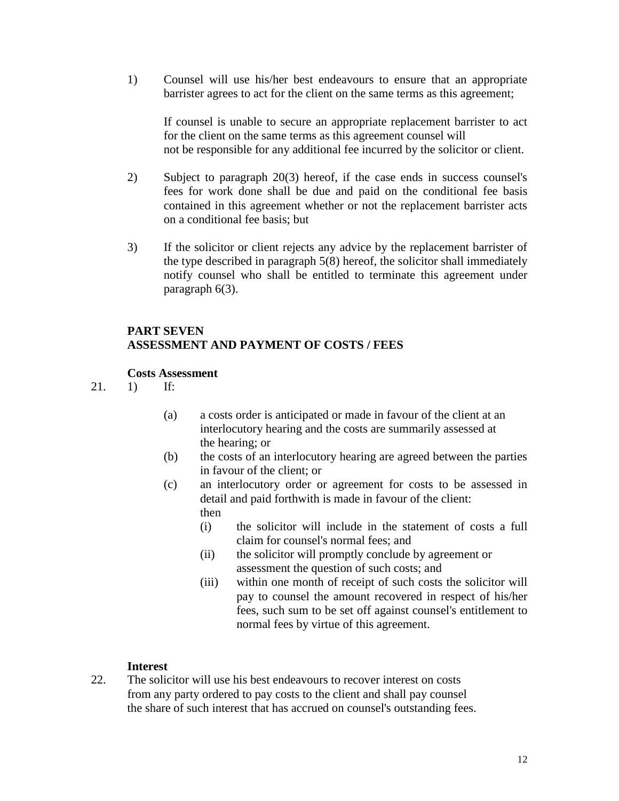1) Counsel will use his/her best endeavours to ensure that an appropriate barrister agrees to act for the client on the same terms as this agreement;

If counsel is unable to secure an appropriate replacement barrister to act for the client on the same terms as this agreement counsel will not be responsible for any additional fee incurred by the solicitor or client.

- 2) Subject to paragraph 20(3) hereof, if the case ends in success counsel's fees for work done shall be due and paid on the conditional fee basis contained in this agreement whether or not the replacement barrister acts on a conditional fee basis; but
- 3) If the solicitor or client rejects any advice by the replacement barrister of the type described in paragraph 5(8) hereof, the solicitor shall immediately notify counsel who shall be entitled to terminate this agreement under paragraph 6(3).

# **PART SEVEN ASSESSMENT AND PAYMENT OF COSTS / FEES**

### **Costs Assessment**

- 21. 1) If:
	- (a) a costs order is anticipated or made in favour of the client at an interlocutory hearing and the costs are summarily assessed at the hearing; or
	- (b) the costs of an interlocutory hearing are agreed between the parties in favour of the client; or
	- (c) an interlocutory order or agreement for costs to be assessed in detail and paid forthwith is made in favour of the client: then
		- (i) the solicitor will include in the statement of costs a full claim for counsel's normal fees; and
		- (ii) the solicitor will promptly conclude by agreement or assessment the question of such costs; and
		- (iii) within one month of receipt of such costs the solicitor will pay to counsel the amount recovered in respect of his/her fees, such sum to be set off against counsel's entitlement to normal fees by virtue of this agreement.

### **Interest**

22. The solicitor will use his best endeavours to recover interest on costs from any party ordered to pay costs to the client and shall pay counsel the share of such interest that has accrued on counsel's outstanding fees.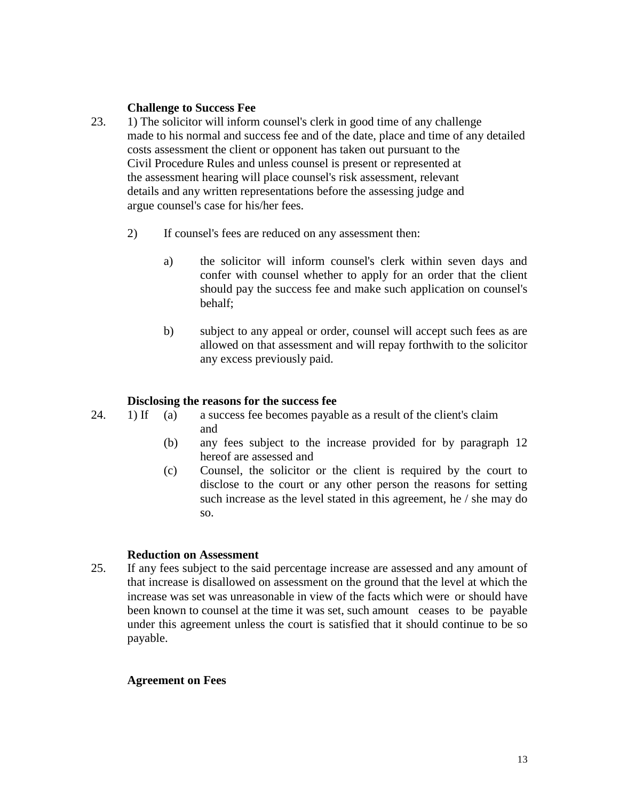### **Challenge to Success Fee**

- 23. 1) The solicitor will inform counsel's clerk in good time of any challenge made to his normal and success fee and of the date, place and time of any detailed costs assessment the client or opponent has taken out pursuant to the Civil Procedure Rules and unless counsel is present or represented at the assessment hearing will place counsel's risk assessment, relevant details and any written representations before the assessing judge and argue counsel's case for his/her fees.
	- 2) If counsel's fees are reduced on any assessment then:
		- a) the solicitor will inform counsel's clerk within seven days and confer with counsel whether to apply for an order that the client should pay the success fee and make such application on counsel's behalf;
		- b) subject to any appeal or order, counsel will accept such fees as are allowed on that assessment and will repay forthwith to the solicitor any excess previously paid.

### **Disclosing the reasons for the success fee**

- 24. 1) If (a) a success fee becomes payable as a result of the client's claim and
	- (b) any fees subject to the increase provided for by paragraph 12 hereof are assessed and
	- (c) Counsel, the solicitor or the client is required by the court to disclose to the court or any other person the reasons for setting such increase as the level stated in this agreement, he / she may do so.

### **Reduction on Assessment**

25. If any fees subject to the said percentage increase are assessed and any amount of that increase is disallowed on assessment on the ground that the level at which the increase was set was unreasonable in view of the facts which were or should have been known to counsel at the time it was set, such amount ceases to be payable under this agreement unless the court is satisfied that it should continue to be so payable.

### **Agreement on Fees**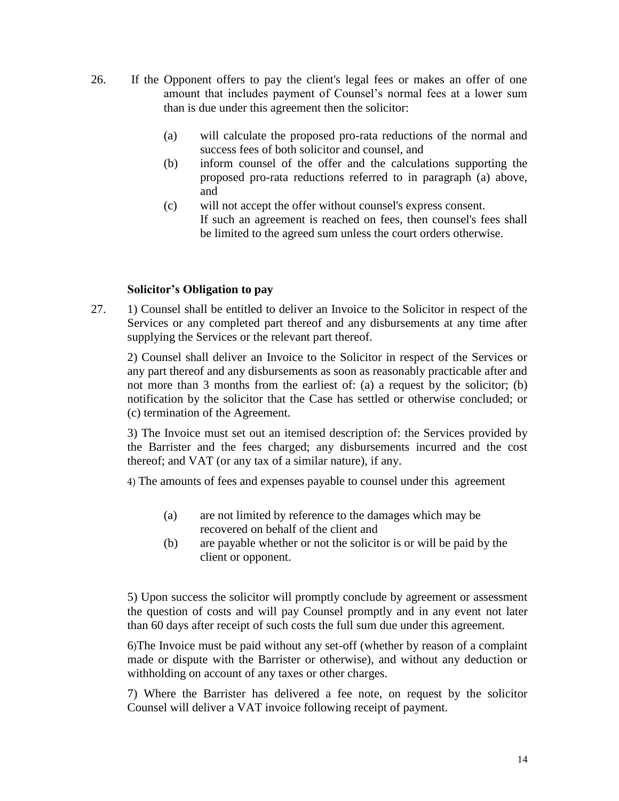- 26. If the Opponent offers to pay the client's legal fees or makes an offer of one amount that includes payment of Counsel's normal fees at a lower sum than is due under this agreement then the solicitor:
	- (a) will calculate the proposed pro-rata reductions of the normal and success fees of both solicitor and counsel, and
	- (b) inform counsel of the offer and the calculations supporting the proposed pro-rata reductions referred to in paragraph (a) above, and
	- (c) will not accept the offer without counsel's express consent. If such an agreement is reached on fees, then counsel's fees shall be limited to the agreed sum unless the court orders otherwise.

### **Solicitor's Obligation to pay**

27. 1) Counsel shall be entitled to deliver an Invoice to the Solicitor in respect of the Services or any completed part thereof and any disbursements at any time after supplying the Services or the relevant part thereof.

2) Counsel shall deliver an Invoice to the Solicitor in respect of the Services or any part thereof and any disbursements as soon as reasonably practicable after and not more than 3 months from the earliest of: (a) a request by the solicitor; (b) notification by the solicitor that the Case has settled or otherwise concluded; or (c) termination of the Agreement.

3) The Invoice must set out an itemised description of: the Services provided by the Barrister and the fees charged; any disbursements incurred and the cost thereof; and VAT (or any tax of a similar nature), if any.

4) The amounts of fees and expenses payable to counsel under this agreement

- (a) are not limited by reference to the damages which may be recovered on behalf of the client and
- (b) are payable whether or not the solicitor is or will be paid by the client or opponent.

5) Upon success the solicitor will promptly conclude by agreement or assessment the question of costs and will pay Counsel promptly and in any event not later than 60 days after receipt of such costs the full sum due under this agreement.

6)The Invoice must be paid without any set-off (whether by reason of a complaint made or dispute with the Barrister or otherwise), and without any deduction or withholding on account of any taxes or other charges.

7) Where the Barrister has delivered a fee note, on request by the solicitor Counsel will deliver a VAT invoice following receipt of payment.